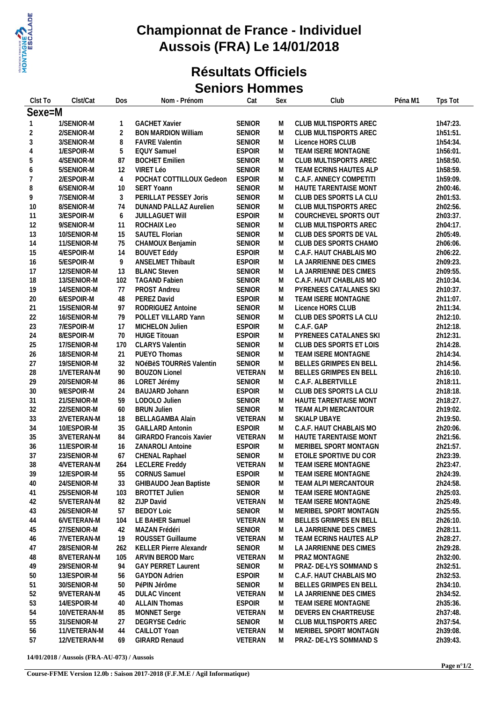

#### **Championnat de France - Individuel Aussois (FRA) Le 14/01/2018**

#### **Résultats Officiels Seniors Hommes**

| Clst To        | Clst/Cat                    | Dos             | Nom - Prénom                   | Cat                      | Sex    | Club                                          | Péna M1 | Tps Tot  |
|----------------|-----------------------------|-----------------|--------------------------------|--------------------------|--------|-----------------------------------------------|---------|----------|
| Sexe=M         |                             |                 |                                |                          |        |                                               |         |          |
| -1             | 1/SENIOR-M                  |                 | <b>GACHET Xavier</b>           | <b>SENIOR</b>            | M      | CLUB MULTISPORTS AREC                         |         | 1h47:23. |
| $\overline{2}$ | 2/SENIOR-M                  | $\overline{2}$  | <b>BON MARDION William</b>     | <b>SENIOR</b>            | M      | CLUB MULTISPORTS AREC                         |         | 1h51:51. |
| 3              | 3/SENIOR-M                  | 8               | <b>FAVRE Valentin</b>          | <b>SENIOR</b>            | M      | Licence HORS CLUB                             |         | 1h54:34. |
| 4              | 1/ESPOIR-M                  | 5               | <b>EQUY Samuel</b>             | <b>ESPOIR</b>            | M      | TEAM ISERE MONTAGNE                           |         | 1h56:01. |
| 5              | 4/SENIOR-M                  | 87              | <b>BOCHET Emilien</b>          | <b>SENIOR</b>            | M      | CLUB MULTISPORTS AREC                         |         | 1h58:50. |
| 6              | 5/SENIOR-M                  | 12              | VIRET Léo                      | SENIOR                   | M      | TEAM ECRINS HAUTES ALP                        |         | 1h58:59. |
| $\overline{7}$ | 2/ESPOIR-M                  | $\overline{4}$  | POCHAT COTTILLOUX Gedeon       | <b>ESPOIR</b>            | M      | C.A.F. ANNECY COMPETITI                       |         | 1h59:09. |
| 8              | 6/SENIOR-M                  | 10 <sup>°</sup> | <b>SERT Yoann</b>              | <b>SENIOR</b>            | M      | HAUTE TARENTAISE MONT                         |         | 2h00:46. |
| 9              | 7/SENIOR-M                  | 3               | PERILLAT PESSEY Joris          | <b>SENIOR</b>            | M      | CLUB DES SPORTS LA CLU                        |         | 2h01:53. |
| 10             | 8/SENIOR-M                  | 74              | <b>DUNAND PALLAZ Aurelien</b>  | <b>SENIOR</b>            | M      | CLUB MULTISPORTS AREC                         |         | 2h02:56. |
| 11             | 3/ESPOIR-M                  | 6               | <b>JUILLAGUET WIII</b>         | <b>ESPOIR</b>            | M      | COURCHEVEL SPORTS OUT                         |         | 2h03:37. |
| 12             | 9/SENIOR-M                  | 11              | ROCHAIX Leo                    | SENIOR                   | M      | CLUB MULTISPORTS AREC                         |         | 2h04:17. |
| 13             | 10/SENIOR-M                 | 15              | SAUTEL Florian                 | <b>SENIOR</b>            | M      | CLUB DES SPORTS DE VAL                        |         | 2h05:49. |
| 14             | 11/SENIOR-M                 | 75              | CHAMOUX Benjamin               | <b>SENIOR</b>            | M      | CLUB DES SPORTS CHAMO                         |         | 2h06:06. |
| 15             | 4/ESPOIR-M                  | 14              | <b>BOUVET Eddy</b>             | <b>ESPOIR</b>            | M      | C.A.F. HAUT CHABLAIS MO                       |         | 2h06:22. |
| 16             | 5/ESPOIR-M                  | 9               | ANSELMET Thibault              | <b>ESPOIR</b>            | M      | LA JARRIENNE DES CIMES                        |         | 2h09:23. |
| 17             | 12/SENIOR-M                 | 13              | <b>BLANC Steven</b>            | SENIOR                   | M      | LA JARRIENNE DES CIMES                        |         | 2h09:55. |
| 18             | 13/SENIOR-M                 | 102             | <b>TAGAND Fabien</b>           | <b>SENIOR</b>            | M      | C.A.F. HAUT CHABLAIS MO                       |         | 2h10:34. |
| 19             | 14/SENIOR-M                 | 77              | PROST Andreu                   | SENIOR                   | M      | PYRENEES CATALANES SKI                        |         | 2h10:37. |
| 20             | 6/ESPOIR-M                  | 48              | PEREZ David                    | <b>ESPOIR</b>            | M      | TEAM ISERE MONTAGNE                           |         | 2h11:07. |
| 21             | 15/SENIOR-M                 | 97              | RODRIGUEZ Antoine              | <b>SENIOR</b>            | M      | Licence HORS CLUB                             |         | 2h11:34. |
| 22             | 16/SENIOR-M                 | 79              | POLLET VILLARD Yann            | <b>SENIOR</b>            | M      | CLUB DES SPORTS LA CLU                        |         | 2h12:10. |
| 23             | 7/ESPOIR-M                  | 17              | MICHELON Julien                | <b>ESPOIR</b>            | M      | C.A.F. GAP                                    |         | 2h12:18. |
| 24             | 8/ESPOIR-M                  | 70              | <b>HUIGE Titouan</b>           | <b>ESPOIR</b>            | M      | PYRENEES CATALANES SKI                        |         | 2h12:31. |
| 25             | 17/SENIOR-M                 | 170             | <b>CLARYS Valentin</b>         | SENIOR                   | M      | CLUB DES SPORTS ET LOIS                       |         | 2h14:28. |
| 26             | 18/SENIOR-M                 | 21              | PUEYO Thomas                   | <b>SENIOR</b>            | M      | TEAM ISERE MONTAGNE                           |         | 2h14:34. |
| 27             | 19/SENIOR-M                 | 32              | NOéBèS TOURRèS Valentin        | <b>SENIOR</b>            | M      | BELLES GRIMPES EN BELL                        |         | 2h14:56. |
| 28             | 1/VETERAN-M                 | 90              | <b>BOUZON Lionel</b>           | VETERAN                  | M      | BELLES GRIMPES EN BELL                        |         | 2h16:10. |
| 29             | 20/SENIOR-M                 | 86              | LORET Jérémy                   | <b>SENIOR</b>            | M      | C.A.F. ALBERTVILLE                            |         | 2h18:11. |
| 30             | 9/ESPOIR-M                  | 24              | BAUJARD Johann                 | <b>ESPOIR</b>            | M      | CLUB DES SPORTS LA CLU                        |         | 2h18:18. |
| 31             | 21/SENIOR-M                 | 59              | LODOLO Julien                  | SENIOR                   | M      | HAUTE TARENTAISE MONT                         |         | 2h18:27. |
| 32             | 22/SENIOR-M                 | 60              | <b>BRUN Julien</b>             | SENIOR                   | M      | TEAM ALPI MERCANTOUR                          |         | 2h19:02. |
| 33             | 2/VETERAN-M                 | 18              | <b>BELLAGAMBA Alain</b>        | VETERAN                  | M      | SKIALP UBAYE                                  |         | 2h19:50. |
| 34             | 10/ESPOIR-M                 | 35              | <b>GAILLARD Antonin</b>        | <b>ESPOIR</b>            | M      | C.A.F. HAUT CHABLAIS MO                       |         | 2h20:06. |
| 35             | 3/VETERAN-M                 | 84              | <b>GIRARDO Francois Xavier</b> | VETERAN                  | M      | HAUTE TARENTAISE MONT                         |         | 2h21:56. |
| 36             | 11/ESPOIR-M                 | 16              | ZANAROLI Antoine               | <b>ESPOIR</b>            | M      | MERIBEL SPORT MONTAGN                         |         | 2h21:57. |
| 37             | 23/SENIOR-M                 | 67              | CHENAL Raphael                 | SENIOR                   | M      | ETOILE SPORTIVE DU COR                        |         | 2h23:39. |
| 38             | 4/VETERAN-M                 | 264             | <b>LECLERE Freddy</b>          | VETERAN                  | M      | TEAM ISERE MONTAGNE                           |         | 2h23:47. |
| 39             | 12/ESPOIR-M                 | 55              | <b>CORNUS Samuel</b>           | <b>ESPOIR</b>            | M      | TEAM ISERE MONTAGNE                           |         | 2h24:39. |
| 40             | 24/SENIOR-M                 | 33              | GHIBAUDO Jean Baptiste         | <b>SENIOR</b>            | M      | TEAM ALPI MERCANTOUR                          |         | 2h24:58. |
| 41             | 25/SENIOR-M                 | 103             | <b>BROTTET Julien</b>          | <b>SENIOR</b>            | M      | TEAM ISERE MONTAGNE                           |         | 2h25:03. |
| 42             | 5/VETERAN-M                 | 82              | ZIJP David                     | VETERAN                  | M      | TEAM ISERE MONTAGNE                           |         | 2h25:49. |
| 43             | 26/SENIOR-M                 | 57              | <b>BEDOY Loic</b>              | <b>SENIOR</b>            | M      | MERIBEL SPORT MONTAGN                         |         | 2h25:55. |
| 44             | 6/VETERAN-M                 | 104             | LE BAHER Samuel                | VETERAN                  | M      | BELLES GRIMPES EN BELL                        |         | 2h26:10. |
| 45             | 27/SENIOR-M                 | 42              | MAZAN Frédéri                  | <b>SENIOR</b>            | M      | LA JARRIENNE DES CIMES                        |         | 2h28:11. |
| 46             | 7/VETERAN-M                 | 19              | ROUSSET Guillaume              | VETERAN                  | M      | TEAM ECRINS HAUTES ALP                        |         | 2h28:27. |
| 47             | 28/SENIOR-M                 | 262             | KELLER Pierre Alexandr         | <b>SENIOR</b>            | M      | LA JARRIENNE DES CIMES                        |         | 2h29:28. |
| 48             | 8/VETERAN-M                 | 105             | <b>ARVIN BEROD Marc</b>        | VETERAN                  | M      | PRAZ MONTAGNE                                 |         | 2h32:00. |
| 49             | 29/SENIOR-M                 | 94              | <b>GAY PERRET Laurent</b>      | <b>SENIOR</b>            | M      | PRAZ- DE-LYS SOMMAND S                        |         | 2h32:51. |
| 50             | 13/ESPOIR-M                 | 56              | <b>GAYDON Adrien</b>           | <b>ESPOIR</b>            | M      | C.A.F. HAUT CHABLAIS MO                       |         | 2h32:53. |
|                | 30/SENIOR-M                 | 50              | PéPIN Jérôme                   | <b>SENIOR</b>            | M      | BELLES GRIMPES EN BELL                        |         | 2h34:10. |
| 51<br>52       | 9/VETERAN-M                 | 45              | <b>DULAC Vincent</b>           | VETERAN                  | M      | LA JARRIENNE DES CIMES                        |         | 2h34:52. |
| 53             | 14/ESPOIR-M                 | 40              | <b>ALLAIN Thomas</b>           | <b>ESPOIR</b>            | M      | TEAM ISERE MONTAGNE                           |         | 2h35:36. |
|                |                             |                 | <b>MONNET</b> Serge            |                          |        |                                               |         | 2h37:48. |
| 54             | 10/VETERAN-M<br>31/SENIOR-M | 85<br>27        | <b>DEGRYSE Cedric</b>          | VETERAN<br><b>SENIOR</b> | M      | DEVERS EN CHARTREUSE<br>CLUB MULTISPORTS AREC |         | 2h37:54. |
| 55<br>56       | 11/VETERAN-M                | 44              | CAILLOT Yoan                   | VETERAN                  | M<br>M | MERIBEL SPORT MONTAGN                         |         | 2h39:08. |
| 57             | 12/VETERAN-M                | 69              | <b>GIRARD Renaud</b>           | VETERAN                  |        | PRAZ- DE-LYS SOMMAND S                        |         | 2h39:43. |
|                |                             |                 |                                |                          | M      |                                               |         |          |

**14/01/2018 / Aussois (FRA-AU-073) / Aussois**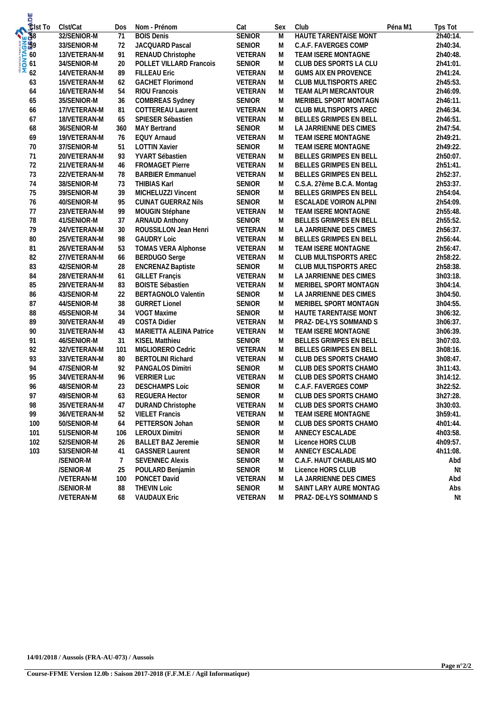| <b>S</b><br>Sist To | Clst/Cat         | Dos | Nom - Prénom               | Cat            | Sex | Club                          | Péna M1 | Tps Tot  |
|---------------------|------------------|-----|----------------------------|----------------|-----|-------------------------------|---------|----------|
| <b>Audio</b>        | 32/SENIOR-M      | 71  | <b>BOIS Denis</b>          | <b>SENIOR</b>  | M   | <b>HAUTE TARENTAISE MONT</b>  |         | 2h40:14. |
|                     | 33/SENIOR-M      | 72  | JACQUARD Pascal            | SENIOR         | M   | C.A.F. FAVERGES COMP          |         | 2h40:34. |
| <b>MONTAGES</b>     | 13/VETERAN-M     | 91  | RENAUD Christophe          | VETERAN        | M   | TEAM ISERE MONTAGNE           |         | 2h40:48. |
|                     | 34/SENIOR-M      | 20  | POLLET VILLARD Francois    | <b>SENIOR</b>  | M   | CLUB DES SPORTS LA CLU        |         | 2h41:01. |
|                     | 14/VETERAN-M     | 89  | <b>FILLEAU Eric</b>        | VETERAN        | M   | <b>GUMS AIX EN PROVENCE</b>   |         | 2h41:24. |
| 63                  | 15/VETERAN-M     | 62  | <b>GACHET Florimond</b>    | VETERAN        | M   | CLUB MULTISPORTS AREC         |         | 2h45:53. |
| 64                  | 16/VETERAN-M     | 54  | RIOU Francois              | VETERAN        | M   | TEAM ALPI MERCANTOUR          |         | 2h46:09. |
| 65                  | 35/SENIOR-M      | 36  | <b>COMBREAS Sydney</b>     | SENIOR         | M   | MERIBEL SPORT MONTAGN         |         | 2h46:11. |
| 66                  | 17/VETERAN-M     | 81  | COTTEREAU Laurent          | VETERAN        | M   | CLUB MULTISPORTS AREC         |         | 2h46:34. |
| 67                  | 18/VETERAN-M     | 65  | SPIESER Sébastien          | VETERAN        | M   | BELLES GRIMPES EN BELL        |         | 2h46:51. |
| 68                  | 36/SENIOR-M      | 360 | <b>MAY Bertrand</b>        | <b>SENIOR</b>  | M   | LA JARRIENNE DES CIMES        |         | 2h47:54. |
| 69                  | 19/VETERAN-M     | 76  | <b>EQUY Arnaud</b>         | VETERAN        | M   | TEAM ISERE MONTAGNE           |         | 2h49:21. |
| 70                  | 37/SENIOR-M      | 51  | <b>LOTTIN Xavier</b>       | <b>SENIOR</b>  | M   | TEAM ISERE MONTAGNE           |         | 2h49:22. |
| 71                  | 20/VETERAN-M     | 93  | YVART Sébastien            | VETERAN        | M   | BELLES GRIMPES EN BELL        |         | 2h50:07. |
| 72                  | 21/VETERAN-M     | 46  | <b>FROMAGET Pierre</b>     | VETERAN        | M   | BELLES GRIMPES EN BELL        |         | 2h51:41. |
| 73                  | 22/VETERAN-M     | 78  | <b>BARBIER Emmanuel</b>    | VETERAN        | M   | BELLES GRIMPES EN BELL        |         | 2h52:37. |
| 74                  | 38/SENIOR-M      | 73  | <b>THIBIAS Karl</b>        | SENIOR         | M   | C.S.A. 27ème B.C.A. Montag    |         | 2h53:37. |
| 75                  | 39/SENIOR-M      | 39  | MICHELUZZI Vincent         | <b>SENIOR</b>  | M   | BELLES GRIMPES EN BELL        |         | 2h54:04. |
| 76                  | 40/SENIOR-M      | 95  | <b>CUINAT GUERRAZ Nils</b> | SENIOR         | M   | ESCALADE VOIRON ALPINI        |         | 2h54:09. |
| 77                  | 23/VETERAN-M     | 99  | MOUGIN Stéphane            | VETERAN        | M   | TEAM ISERE MONTAGNE           |         | 2h55:48. |
| 78                  | 41/SENIOR-M      | 37  | <b>ARNAUD Anthony</b>      | SENIOR         | M   | BELLES GRIMPES EN BELL        |         | 2h55:52. |
| 79                  | 24/VETERAN-M     | 30  | ROUSSILLON Jean Henri      | VETERAN        | M   | LA JARRIENNE DES CIMES        |         | 2h56:37. |
| 80                  | 25/VETERAN-M     | 98  | <b>GAUDRY Loic</b>         | VETERAN        | M   | <b>BELLES GRIMPES EN BELL</b> |         | 2h56:44. |
| 81                  | 26/VETERAN-M     | 53  | <b>TOMAS VERA Alphonse</b> | VETERAN        | M   | TEAM ISERE MONTAGNE           |         | 2h56:47. |
| 82                  | 27/VETERAN-M     | 66  | <b>BERDUGO</b> Serge       | VETERAN        | M   | CLUB MULTISPORTS AREC         |         | 2h58:22. |
| 83                  | 42/SENIOR-M      | 28  | <b>ENCRENAZ Baptiste</b>   | SENIOR         | M   | CLUB MULTISPORTS AREC         |         | 2h58:38. |
| 84                  | 28/VETERAN-M     | 61  | <b>GILLET Françis</b>      | VETERAN        | M   | LA JARRIENNE DES CIMES        |         | 3h03:18. |
| 85                  | 29/VETERAN-M     | 83  | <b>BOISTE Sébastien</b>    | VETERAN        | M   | MERIBEL SPORT MONTAGN         |         | 3h04:14. |
| 86                  | 43/SENIOR-M      | 22  | <b>BERTAGNOLO Valentin</b> | SENIOR         | M   | LA JARRIENNE DES CIMES        |         | 3h04:50. |
| 87                  | 44/SENIOR-M      | 38  | <b>GURRET Lionel</b>       | SENIOR         | M   | MERIBEL SPORT MONTAGN         |         | 3h04:55. |
| 88                  | 45/SENIOR-M      | 34  | VOGT Maxime                | <b>SENIOR</b>  | M   | HAUTE TARENTAISE MONT         |         | 3h06:32. |
| 89                  | 30/VETERAN-M     | 49  | <b>COSTA Didier</b>        | VETERAN        | M   | PRAZ- DE-LYS SOMMAND S        |         | 3h06:37. |
| 90                  | 31/VETERAN-M     | 43  | MARIETTA ALEINA Patrice    | VETERAN        | M   | TEAM ISERE MONTAGNE           |         | 3h06:39. |
| 91                  | 46/SENIOR-M      | 31  | KISEL Matthieu             | <b>SENIOR</b>  | M   | BELLES GRIMPES EN BELL        |         | 3h07:03. |
| 92                  | 32/VETERAN-M     | 101 | MIGLIORERO Cedric          | VETERAN        | M   | BELLES GRIMPES EN BELL        |         | 3h08:16. |
| 93                  | 33/VETERAN-M     | 80  | <b>BERTOLINI Richard</b>   | VETERAN        | M   | CLUB DES SPORTS CHAMO         |         | 3h08:47. |
| 94                  | 47/SENIOR-M      | 92  | PANGALOS Dimitri           | SENIOR         | M   | CLUB DES SPORTS CHAMO         |         | 3h11:43. |
| 95                  | 34/VETERAN-M     | 96  | <b>VERRIER Luc</b>         | VETERAN        | M   | CLUB DES SPORTS CHAMO         |         | 3h14:12. |
| 96                  | 48/SENIOR-M      | 23  | <b>DESCHAMPS Loic</b>      | <b>SENIOR</b>  | M   | C.A.F. FAVERGES COMP          |         | 3h22:52. |
| 97                  | 49/SENIOR-M      | 63  | <b>REGUERA Hector</b>      | SENIOR         | M   | CLUB DES SPORTS CHAMO         |         | 3h27:28. |
| 98                  | 35/VETERAN-M     | 47  | <b>DURAND Christophe</b>   | VETERAN        | M   | CLUB DES SPORTS CHAMO         |         | 3h30:03. |
| 99                  | 36/VETERAN-M     | 52  | <b>VIELET Francis</b>      | VETERAN        | M   | TEAM ISERE MONTAGNE           |         | 3h59:41. |
| 100                 | 50/SENIOR-M      | 64  | PETTERSON Johan            | <b>SENIOR</b>  | M   | CLUB DES SPORTS CHAMO         |         | 4h01:44. |
| 101                 | 51/SENIOR-M      | 106 | <b>LEROUX Dimitri</b>      | <b>SENIOR</b>  | M   | ANNECY ESCALADE               |         | 4h03:58. |
| 102                 | 52/SENIOR-M      | 26  | <b>BALLET BAZ Jeremie</b>  | <b>SENIOR</b>  | M   | Licence HORS CLUB             |         | 4h09:57. |
| 103                 | 53/SENIOR-M      | 41  | <b>GASSNER Laurent</b>     | SENIOR         | M   | ANNECY ESCALADE               |         | 4h11:08. |
|                     | /SENIOR-M        | 7   | <b>SEVENNEC Alexis</b>     | <b>SENIOR</b>  | M   | C.A.F. HAUT CHABLAIS MO       |         | Abd      |
|                     | /SENIOR-M        | 25  | POULARD Benjamin           | <b>SENIOR</b>  | M   | Licence HORS CLUB             |         | Nt       |
|                     | <b>NETERAN-M</b> | 100 | PONCET David               | <b>VETERAN</b> | M   | LA JARRIENNE DES CIMES        |         | Abd      |
|                     | /SENIOR-M        | 88  | <b>THEVIN LOTC</b>         | <b>SENIOR</b>  | M   | SAINT LARY AURE MONTAG        |         | Abs      |
|                     | /VETERAN-M       | 68  | <b>VAUDAUX Eric</b>        | VETERAN        | M   | PRAZ- DE-LYS SOMMAND S        |         | Nt       |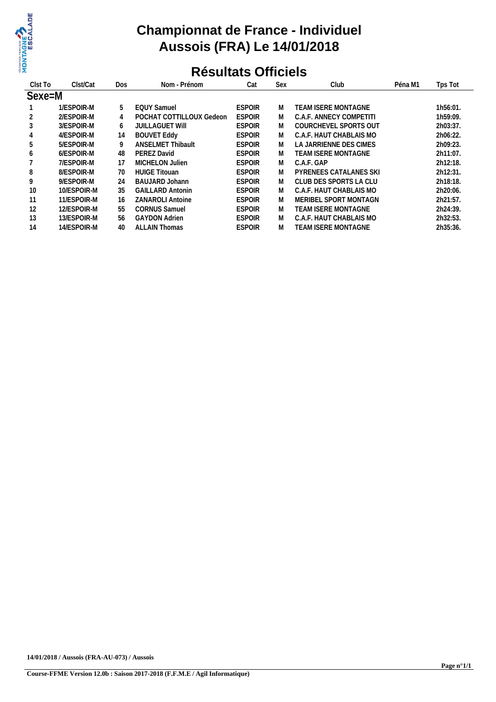

## **Championnat de France - Individuel Aussois (FRA) Le 14/01/2018**

# **Résultats Officiels**

| Clst To | Clst/Cat    | Dos | Nom - Prénom             | Cat           | <b>Sex</b> | Club                          | Péna M1 | Tps Tot     |
|---------|-------------|-----|--------------------------|---------------|------------|-------------------------------|---------|-------------|
| Sexe=M  |             |     |                          |               |            |                               |         |             |
|         | 1/ESPOIR-M  | 5   | <b>EOUY Samuel</b>       | <b>ESPOIR</b> | M          | TEAM ISERE MONTAGNE           |         | 1h56:01.    |
|         | 2/ESPOIR-M  | 4   | POCHAT COTTILLOUX Gedeon | <b>ESPOIR</b> | M          | C.A.F. ANNECY COMPETITI       |         | 1h59:09.    |
| 3       | 3/ESPOIR-M  | 6   | <b>JUILLAGUET WIII</b>   | <b>ESPOIR</b> | M          | COURCHEVEL SPORTS OUT         |         | 2h03:37.    |
| 4       | 4/ESPOIR-M  | 14  | <b>BOUVET Eddy</b>       | <b>ESPOIR</b> | M          | C.A.F. HAUT CHABLAIS MO       |         | 2h06:22.    |
| 5       | 5/ESPOIR-M  | 9   | <b>ANSELMET Thibault</b> | <b>ESPOIR</b> | M          | LA JARRIENNE DES CIMES        |         | 2h09:23.    |
| 6       | 6/ESPOIR-M  | 48  | PEREZ David              | <b>ESPOIR</b> | M          | TEAM ISERE MONTAGNE           |         | $2h11:07$ . |
|         | 7/ESPOIR-M  | 17  | MICHELON Julien          | <b>ESPOIR</b> | M          | C.A.F. GAP                    |         | 2h12:18.    |
| 8       | 8/ESPOIR-M  | 70  | <b>HUIGE Titouan</b>     | <b>ESPOIR</b> | M          | <b>PYRENEES CATALANES SKI</b> |         | 2h12:31.    |
| 9       | 9/ESPOIR-M  | 24  | BAUJARD Johann           | <b>ESPOIR</b> | M          | CLUB DES SPORTS LA CLU        |         | 2h18:18.    |
| 10      | 10/ESPOIR-M | 35  | <b>GAILLARD Antonin</b>  | <b>ESPOIR</b> | M          | C.A.F. HAUT CHABLAIS MO       |         | 2h20:06.    |
| 11      | 11/ESPOIR-M | 16  | <b>ZANAROLI Antoine</b>  | <b>ESPOIR</b> | M          | MERIBEL SPORT MONTAGN         |         | 2h21:57.    |
| 12      | 12/ESPOIR-M | 55  | <b>CORNUS Samuel</b>     | <b>ESPOIR</b> | M          | TEAM ISERE MONTAGNE           |         | 2h24:39.    |
| 13      | 13/ESPOIR-M | 56  | <b>GAYDON Adrien</b>     | <b>ESPOIR</b> | M          | C.A.F. HAUT CHABLAIS MO       |         | 2h32:53.    |
| 14      | 14/ESPOIR-M | 40  | <b>ALLAIN Thomas</b>     | <b>ESPOIR</b> | M          | <b>TEAM ISERE MONTAGNE</b>    |         | 2h35:36.    |
|         |             |     |                          |               |            |                               |         |             |